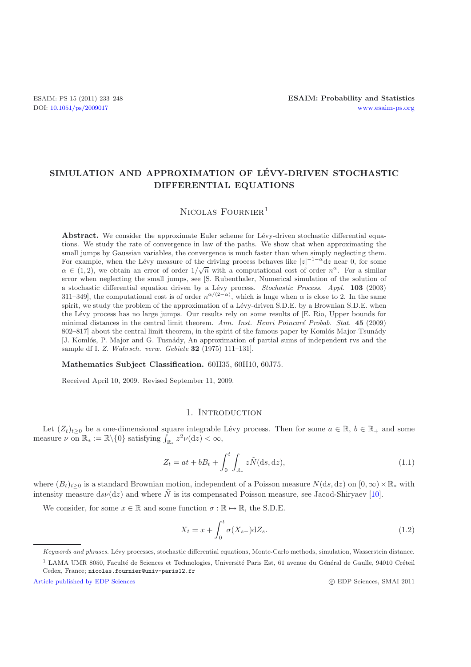# **SIMULATION AND APPROXIMATION OF LEVY-DRIVEN STOCHASTIC ´ DIFFERENTIAL EQUATIONS**

# NICOLAS FOURNIER<sup>1</sup>

**Abstract.** We consider the approximate Euler scheme for Lévy-driven stochastic differential equations. We study the rate of convergence in law of the paths. We show that when approximating the small jumps by Gaussian variables, the convergence is much faster than when simply neglecting them. For example, when the Lévy measure of the driving process behaves like  $|z|^{-1-\alpha} dz$  near 0, for some  $\alpha \in (1, 2)$ , we obtain an error of order  $1/\sqrt{n}$  with a computational cost of order  $n^{\alpha}$ . For a similar error when neglecting the small jumps, see [S. Rubenthaler, Numerical simulation of the solution of a stochastic differential equation driven by a Lévy process. *Stochastic Process. Appl.* **103** (2003) 311–349], the computational cost is of order  $n^{\alpha/(2-\alpha)}$ , which is huge when  $\alpha$  is close to 2. In the same spirit, we study the problem of the approximation of a Lévy-driven S.D.E. by a Brownian S.D.E. when the L´evy process has no large jumps. Our results rely on some results of [E. Rio, Upper bounds for minimal distances in the central limit theorem. Ann. Inst. Henri Poincaré Probab. Stat. 45 (2009) 802–817] about the central limit theorem, in the spirit of the famous paper by Komlós-Major-Tsunády [J. Komlós, P. Major and G. Tusnády, An approximation of partial sums of independent rvs and the sample df I. *Z. Wahrsch. verw. Gebiete* **32** (1975) 111–131].

#### **Mathematics Subject Classification.** 60H35, 60H10, 60J75.

Received April 10, 2009. Revised September 11, 2009.

## 1. INTRODUCTION

Let  $(Z_t)_{t\geq 0}$  be a one-dimensional square integrable Lévy process. Then for some  $a \in \mathbb{R}$ ,  $b \in \mathbb{R}_+$  and some measure  $\nu$  on  $\mathbb{R}_* := \mathbb{R} \setminus \{0\}$  satisfying  $\int_{\mathbb{R}_*} z^2 \nu(\mathrm{d}z) < \infty$ ,

<span id="page-0-1"></span>
$$
Z_t = at + bB_t + \int_0^t \int_{\mathbb{R}_*} z\tilde{N}(\mathrm{d}s, \mathrm{d}z),\tag{1.1}
$$

where  $(B_t)_{t>0}$  is a standard Brownian motion, independent of a Poisson measure  $N(ds, dz)$  on  $[0, \infty) \times \mathbb{R}_*$  with intensity measure ds $\nu(\mathrm{d}z)$  and where  $\tilde{N}$  is its compensated Poisson measure, see Jacod-Shiryaev [\[10\]](#page-15-0).

We consider, for some  $x \in \mathbb{R}$  and some function  $\sigma : \mathbb{R} \mapsto \mathbb{R}$ , the S.D.E.

<span id="page-0-0"></span>
$$
X_t = x + \int_0^t \sigma(X_{s-}) \mathrm{d}Z_s. \tag{1.2}
$$

c EDP Sciences, SMAI 2011

Keywords and phrases. Lévy processes, stochastic differential equations, Monte-Carlo methods, simulation, Wasserstein distance.

 $1$  LAMA UMR 8050, Faculté de Sciences et Technologies, Université Paris Est, 61 avenue du Général de Gaulle, 94010 Créteil Cedex, France; nicolas.fournier@univ-paris12.fr

[Article published by EDP Sciences](http://www.edpsciences.org)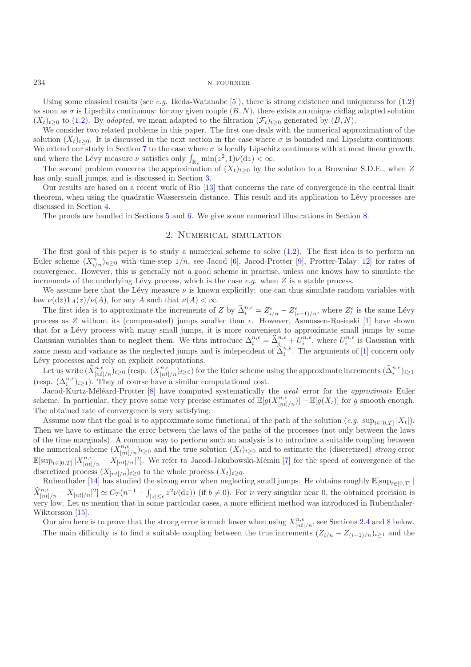Using some classical results (see *e.g.* Ikeda-Watanabe [\[5](#page-15-1)]), there is strong existence and uniqueness for [\(1.2\)](#page-0-0) as soon as  $\sigma$  is Lipschitz continuous: for any given couple  $(B, N)$ , there exists an unique càdlàg adapted solution  $(X_t)_{t>0}$  to [\(1.2\)](#page-0-0). By *adapted*, we mean adapted to the filtration  $(\mathcal{F}_t)_{t>0}$  generated by  $(B, N)$ .

We consider two related problems in this paper. The first one deals with the numerical approximation of the solution  $(X_t)_{t\geq0}$ . It is discussed in the next section in the case where  $\sigma$  is bounded and Lipschitz continuous. We extend our study in Section [7](#page-11-0) to the case where  $\sigma$  is locally Lipschitz continuous with at most linear growth, and where the Lévy measure  $\nu$  satisfies only  $\int_{\mathbb{R}^*} \min(z^2, 1)\nu(\mathrm{d}z) < \infty$ .

The second problem concerns the approximation of  $(X_t)_{t\geq0}$  by the solution to a Brownian S.D.E., when Z has only small jumps, and is discussed in Section [3.](#page-4-0)

Our results are based on a recent work of Rio [\[13\]](#page-15-2) that concerns the rate of convergence in the central limit theorem, when using the quadratic Wasserstein distance. This result and its application to Lévy processes are discussed in Section [4.](#page-5-0)

The proofs are handled in Sections [5](#page-6-0) and [6.](#page-9-0) We give some numerical illustrations in Section [8.](#page-13-0)

## 2. Numerical simulation

The first goal of this paper is to study a numerical scheme to solve [\(1.2\)](#page-0-0). The first idea is to perform an Euler scheme  $(X_{i/n}^n)_{n\geq 0}$  with time-step  $1/n$ , see Jacod [\[6\]](#page-15-3), Jacod-Protter [\[9](#page-15-4)], Protter-Talay [\[12\]](#page-15-5) for rates of convergence. However, this is generally not a good scheme in practise, unless one knows how to simulate the increments of the underlying Lévy process, which is the case  $e.g.$  when  $Z$  is a stable process.

We assume here that the Lévy measure  $\nu$  is known explicitly: one can thus simulate random variables with law  $\nu(\mathrm{d}z)\mathbf{1}_A(z)/\nu(A)$ , for any A such that  $\nu(A) < \infty$ .

The first idea is to approximate the increments of Z by  $\widehat{\Delta}_i^{n,\epsilon} = Z_{i/n}^{\epsilon} - Z_{(i-1)/n}^{\epsilon}$ , where  $Z_t^{\epsilon}$  is the same Lévy process as Z without its (compensated) jumps smaller than  $\epsilon$ . However, Asmussen-Rosinski [\[1](#page-15-6)] have shown that for a Lévy process with many small jumps, it is more convenient to approximate small jumps by some Gaussian variables than to neglect them. We thus introduce  $\Delta_i^{n,\epsilon} = \hat{\Delta}_i^{n,\epsilon} + U_i^{n,\epsilon}$ , where  $U_i^{n,\epsilon}$  is Gaussian with same mean and variance as the neglected jumps and is independent of  $\hat{\Delta}_i^{n,\epsilon}$ . The arguments of [\[1](#page-15-6)] concern only Lévy processes and rely on explicit computations.

Let us write  $(\hat{X}_{[nt]/n}^{n,\epsilon})_{t\geq0}$  (resp.  $(X_{[nt]/n}^{n,\epsilon})_{t\geq0}$ ) for the Euler scheme using the approximate increments  $(\hat{\Delta}_{i}^{n,\epsilon})_{i\geq1}$ (resp.  $(\Delta_i^{n,\epsilon})_{i\geq 1}$ ). They of course have a similar computational cost.

Jacod-Kurtz-Méléard-Protter [\[8](#page-15-7)] have computed systematically the *weak* error for the *approximate* Euler scheme. In particular, they prove some very precise estimates of  $\mathbb{E}[g(X_{[nt]/n}^{n,\epsilon})] - \mathbb{E}[g(X_t)]$  for g smooth enough. The obtained rate of convergence is very satisfying.

Assume now that the goal is to approximate some functional of the path of the solution  $(e.g. \sup_{t\in[0,T]} |X_t|)$ . Then we have to estimate the error between the laws of the paths of the processes (not only between the laws of the time marginals). A common way to perform such an analysis is to introduce a suitable coupling between the numerical scheme  $(X_{[nt]/n}^{n,\epsilon})_{t\geq 0}$  and the true solution  $(X_t)_{t\geq 0}$  and to estimate the (discretized) *strong* error  $\mathbb{E}[\sup_{t\in[0,T]}|X^{n,\epsilon}_{[nt]/n}-X^{\epsilon}_{[nt]/n}|^2]$ . We refer to Jacod-Jakubowski-Mémin [\[7\]](#page-15-8) for the speed of convergence of the discretized process  $(X_{[nt]/n})_{t\geq 0}$  to the whole process  $(X_t)_{t\geq 0}$ .

Rubenthaler [\[14\]](#page-15-9) has studied the strong error when neglecting small jumps. He obtains roughly  $\mathbb{E}[\sup_{t\in[0,T]}|$  $\widehat{X}^{n,\epsilon}_{[nt]/n} - X_{[nt]/n}|^2 \simeq C_T (n^{-1} + \int_{|z| \leq \epsilon} z^2 \nu(\mathrm{d}z))$  (if  $b \neq 0$ ). For  $\nu$  very singular near 0, the obtained precision is very low. Let us mention that in some particular cases, a more efficient method was introduced in Rubenthaler-Wiktorsson [\[15\]](#page-15-10).

Our aim here is to prove that the strong error is much lower when using  $X_{[nt]/n}^{n,\epsilon}$ , see Sections [2.4](#page-3-0) and [8](#page-13-0) below. The main difficulty is to find a suitable coupling between the true increments  $(Z_{i/n} - Z_{(i-1)/n})_{i\geq 1}$  and the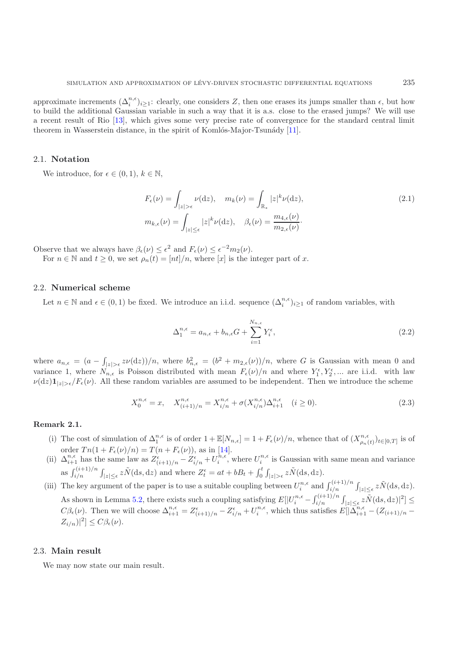approximate increments  $(\Delta_i^{n,\epsilon})_{i\geq 1}$ : clearly, one considers Z, then one erases its jumps smaller than  $\epsilon$ , but how to build the additional Gaussian variable in such a way that it is a.s. close to the erased jumps? We will use a recent result of Rio [\[13](#page-15-2)], which gives some very precise rate of convergence for the standard central limit theorem in Wasserstein distance, in the spirit of Komlós-Major-Tsunády  $[11]$ .

## 2.1. **Notation**

We introduce, for  $\epsilon \in (0,1), k \in \mathbb{N}$ ,

<span id="page-2-1"></span>
$$
F_{\epsilon}(\nu) = \int_{|z| > \epsilon} \nu(\mathrm{d}z), \quad m_k(\nu) = \int_{\mathbb{R}_*} |z|^k \nu(\mathrm{d}z),
$$
  
\n
$$
m_{k,\epsilon}(\nu) = \int_{|z| \le \epsilon} |z|^k \nu(\mathrm{d}z), \quad \beta_{\epsilon}(\nu) = \frac{m_{4,\epsilon}(\nu)}{m_{2,\epsilon}(\nu)}.
$$
\n(2.1)

Observe that we always have  $\beta_{\epsilon}(\nu) \leq \epsilon^2$  and  $F_{\epsilon}(\nu) \leq \epsilon^{-2} m_2(\nu)$ .

For  $n \in \mathbb{N}$  and  $t \geq 0$ , we set  $\rho_n(t)=[nt]/n$ , where [x] is the integer part of x.

#### <span id="page-2-0"></span>2.2. **Numerical scheme**

Let  $n \in \mathbb{N}$  and  $\epsilon \in (0,1)$  be fixed. We introduce an i.i.d. sequence  $(\Delta_i^{n,\epsilon})_{i\geq 1}$  of random variables, with

<span id="page-2-2"></span>
$$
\Delta_1^{n,\epsilon} = a_{n,\epsilon} + b_{n,\epsilon}G + \sum_{i=1}^{N_{n,\epsilon}} Y_i^{\epsilon},\tag{2.2}
$$

where  $a_{n,\epsilon} = (a - \int_{|z| > \epsilon} z \nu(\mathrm{d}z) )/n$ , where  $b_{n,\epsilon}^2 = (b^2 + m_{2,\epsilon}(\nu)) / n$ , where G is Gaussian with mean 0 and variance 1, where  $N_{n,\epsilon}$  is Poisson distributed with mean  $F_{\epsilon}(\nu)/n$  and where  $Y_1^{\epsilon}, Y_2^{\epsilon}, ...$  are i.i.d. with law  $\nu(\mathrm{d}z)\mathbf{1}_{|z|>\epsilon}/F_{\epsilon}(\nu)$ . All these random variables are assumed to be independent. Then we introduce the scheme

$$
X_0^{n,\epsilon} = x, \quad X_{(i+1)/n}^{n,\epsilon} = X_{i/n}^{n,\epsilon} + \sigma(X_{i/n}^{n,\epsilon})\Delta_{i+1}^{n,\epsilon} \quad (i \ge 0).
$$
 (2.3)

- <span id="page-2-3"></span>(i) The cost of simulation of  $\Delta_1^{n,\epsilon}$  is of order  $1+\mathbb{E}[N_{n,\epsilon}] = 1 + F_{\epsilon}(\nu)/n$ , whence that of  $(X_{\rho_n(t)}^{n,\epsilon})_{t\in[0,T]}$  is of order  $T n(1 + F_{\epsilon}(\nu)/n) = T(n + F_{\epsilon}(\nu))$ , as in [\[14\]](#page-15-9).
- (ii)  $\Delta_{i+1}^{n,\epsilon}$  has the same law as  $Z_{(i+1)/n}^{\epsilon}-Z_{i/n}^{\epsilon}+U_i^{n,\epsilon}$ , where  $U_i^{n,\epsilon}$  is Gaussian with same mean and variance as  $\int_{i/n}^{(i+1)/n}$  $\sum_{i/n}^{(i+1)/n} \int_{|z| \leq \epsilon} z \tilde{N}(\mathrm{d}s,\mathrm{d}z)$  and where  $Z_t^{\epsilon} = at + bB_t + \int_0^t$  $\int_0^t \int_{|z| > \epsilon} z \tilde{N}(\mathrm{d}s,\mathrm{d}z).$
- (iii) The key argument of the paper is to use a suitable coupling between  $U_i^{n,\epsilon}$  and  $\int_{i/n}^{(i+1)/n}$  $\int_{i/n}^{(i+1)/n} \int_{|z| \leq \epsilon} z \tilde{N}(\mathrm{d}s,\mathrm{d}z).$ As shown in Lemma [5.2,](#page-7-0) there exists such a coupling satisfying  $E[|U_i^{n,\epsilon} - \int_{i/n}^{(i+1)/n}$ ists such a coupling satisfying  $E[|U_i^{n,\epsilon}-\int_{i/n}^{(i+1)/n}\int_{|z|\leq\epsilon}z\tilde{N}(\text{d}s,\text{d}z)|^2]\leq$  $C\beta_{\epsilon}(\nu)$ . Then we will choose  $\Delta_{i+1}^{n,\epsilon} = Z_{(i+1)/n}^{\epsilon} - Z_{i/n}^{\epsilon} + U_i^{n,\epsilon}$ , which thus satisfies  $E[|\Delta_{i+1}^{n,\epsilon} - (Z_{(i+1)/n} - Z_i^{n,\epsilon})|]$  $Z_{i/n})^2] \leq C \beta_{\epsilon}(\nu).$

#### 2.3. **Main result**

We may now state our main result.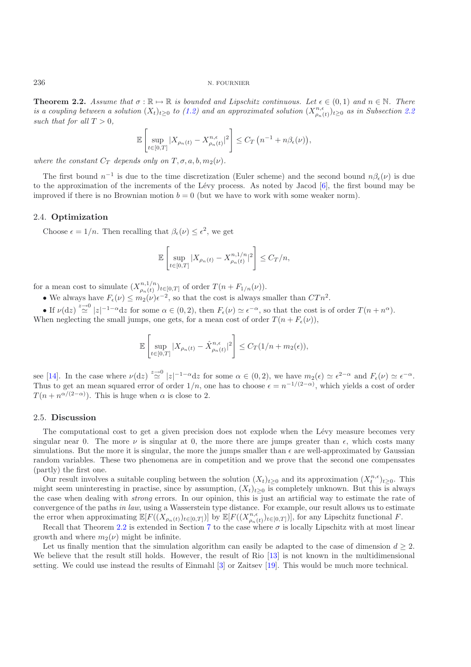<span id="page-3-1"></span>**Theorem 2.2.** *Assume that*  $\sigma : \mathbb{R} \to \mathbb{R}$  *is bounded and Lipschitz continuous. Let*  $\epsilon \in (0,1)$  *and*  $n \in \mathbb{N}$ *. There is a coupling between a solution*  $(X_t)_{t\geq 0}$  *to* [\(1.2\)](#page-0-0) *and an approximated solution*  $(X_{\rho_n(t)}^{n,\epsilon})_{t\geq 0}$  *as in Subsection* [2.2](#page-2-0) such that for all  $T > 0$ ,

$$
\mathbb{E}\left[\sup_{t\in[0,T]}|X_{\rho_n(t)} - X_{\rho_n(t)}^{n,\epsilon}|^2\right] \leq C_T\left(n^{-1} + n\beta_{\epsilon}(\nu)\right),
$$

*where the constant*  $C_T$  *depends only on*  $T, \sigma, a, b, m_2(\nu)$ *.* 

The first bound  $n^{-1}$  is due to the time discretization (Euler scheme) and the second bound  $n\beta_{\epsilon}(\nu)$  is due to the approximation of the increments of the Lévy process. As noted by Jacod  $[6]$  $[6]$ , the first bound may be improved if there is no Brownian motion  $b = 0$  (but we have to work with some weaker norm).

#### <span id="page-3-0"></span>2.4. **Optimization**

Choose  $\epsilon = 1/n$ . Then recalling that  $\beta_{\epsilon}(\nu) \leq \epsilon^2$ , we get

$$
\mathbb{E}\left[\sup_{t\in[0,T]}|X_{\rho_n(t)} - X_{\rho_n(t)}^{n,1/n}|^2\right] \leq C_T/n,
$$

for a mean cost to simulate  $(X_{\rho_n(t)}^{n,1/n})_{t\in[0,T]}$  of order  $T(n+F_{1/n}(\nu))$ .

• We always have  $F_{\epsilon}(\nu) \leq m_2(\nu) \epsilon^{-2}$ , so that the cost is always smaller than  $CTn^2$ .

• If  $\nu(\mathrm{d}z) \stackrel{z\to 0}{\simeq} |z|^{-1-\alpha} \mathrm{d}z$  for some  $\alpha \in (0, 2)$ , then  $F_{\epsilon}(\nu) \simeq \epsilon^{-\alpha}$ , so that the cost is of order  $T(n+n^{\alpha})$ . When neglecting the small jumps, one gets, for a mean cost of order  $T(n + F_{\epsilon}(\nu))$ ,

$$
\mathbb{E}\left[\sup_{t\in[0,T]}|X_{\rho_n(t)}-\hat{X}_{\rho_n(t)}^{n,\epsilon}|^2\right]\leq C_T(1/n+m_2(\epsilon)),
$$

see [\[14](#page-15-9)]. In the case where  $\nu(\mathrm{d}z) \stackrel{z\to 0}{\simeq} |z|^{-1-\alpha} \mathrm{d}z$  for some  $\alpha \in (0, 2)$ , we have  $m_2(\epsilon) \simeq \epsilon^{2-\alpha}$  and  $F_{\epsilon}(\nu) \simeq \epsilon^{-\alpha}$ . Thus to get an mean squared error of order  $1/n$ , one has to choose  $\epsilon = n^{-1/(2-\alpha)}$ , which yields a cost of order  $T(n + n^{\alpha/(2-\alpha)})$ . This is huge when  $\alpha$  is close to 2.

#### 2.5. **Discussion**

The computational cost to get a given precision does not explode when the Lévy measure becomes very singular near 0. The more  $\nu$  is singular at 0, the more there are jumps greater than  $\epsilon$ , which costs many simulations. But the more it is singular, the more the jumps smaller than  $\epsilon$  are well-approximated by Gaussian random variables. These two phenomena are in competition and we prove that the second one compensates (partly) the first one.

Our result involves a suitable coupling between the solution  $(X_t)_{t\geq 0}$  and its approximation  $(X_t^{n,\epsilon})_{t\geq 0}$ . This might seem uninteresting in practise, since by assumption,  $(X_t)_{t>0}$  is completely unknown. But this is always the case when dealing with *strong* errors. In our opinion, this is just an artificial way to estimate the rate of convergence of the paths *in law*, using a Wasserstein type distance. For example, our result allows us to estimate the error when approximating  $\mathbb{E}[F((X_{\rho_n(t)})_{t\in[0,T]})]$  by  $\mathbb{E}[F((X_{\rho_n(t)}^{\eta,\epsilon})_{t\in[0,T]})]$ , for any Lipschitz functional F.

Recall that Theorem [2.2](#page-3-1) is extended in Section [7](#page-11-0) to the case where  $\sigma$  is locally Lipschitz with at most linear growth and where  $m_2(\nu)$  might be infinite.

Let us finally mention that the simulation algorithm can easily be adapted to the case of dimension  $d \geq 2$ . We believe that the result still holds. However, the result of Rio [\[13](#page-15-2)] is not known in the multidimensional setting. We could use instead the results of Einmahl [\[3\]](#page-15-12) or Zaitsev [\[19\]](#page-15-13). This would be much more technical.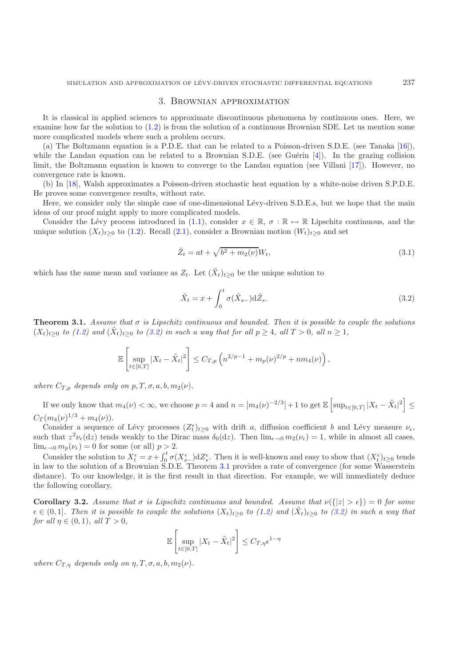#### 3. Brownian approximation

<span id="page-4-0"></span>It is classical in applied sciences to approximate discontinuous phenomena by continuous ones. Here, we examine how far the solution to [\(1.2\)](#page-0-0) is from the solution of a continuous Brownian SDE. Let us mention some more complicated models where such a problem occurs.

(a) The Boltzmann equation is a P.D.E. that can be related to a Poisson-driven S.D.E. (see Tanaka [\[16\]](#page-15-14)), while the Landau equation can be related to a Brownian S.D.E. (see Guérin [\[4\]](#page-15-15)). In the grazing collision limit, the Boltzmann equation is known to converge to the Landau equation (see Villani [\[17\]](#page-15-16)). However, no convergence rate is known.

(b) In [\[18](#page-15-17)], Walsh approximates a Poisson-driven stochastic heat equation by a white-noise driven S.P.D.E. He proves some convergence results, without rate.

Here, we consider only the simple case of one-dimensional Lévy-driven S.D.E.s, but we hope that the main ideas of our proof might apply to more complicated models.

Consider the Lévy process introduced in [\(1.1\)](#page-0-1), consider  $x \in \mathbb{R}$ ,  $\sigma : \mathbb{R} \mapsto \mathbb{R}$  Lipschitz continuous, and the unique solution  $(X_t)_{t>0}$  to [\(1.2\)](#page-0-0). Recall [\(2.1\)](#page-2-1), consider a Brownian motion  $(W_t)_{t>0}$  and set

<span id="page-4-4"></span>
$$
\tilde{Z}_t = at + \sqrt{b^2 + m_2(\nu)} W_t,
$$
\n(3.1)

which has the same mean and variance as  $Z_t$ . Let  $(\tilde{X}_t)_{t>0}$  be the unique solution to

$$
\tilde{X}_t = x + \int_0^t \sigma(\tilde{X}_{s-}) \mathrm{d}\tilde{Z}_s. \tag{3.2}
$$

<span id="page-4-2"></span>**Theorem 3.1.** *Assume that* <sup>σ</sup> *is Lipschitz continuous and bounded. Then it is possible to couple the solutions*  $(X_t)_{t\geq0}$  *to* [\(1.2\)](#page-0-0) and  $(\tilde{X}_t)_{t\geq0}$  *to* [\(3.2\)](#page-4-1) *in such a way that for all*  $p\geq4$ *, all*  $T>0$ *, all*  $n\geq1$ *,* 

<span id="page-4-1"></span>
$$
\mathbb{E}\left[\sup_{t\in[0,T]}|X_t-\tilde{X}_t|^2\right] \leq C_{T,p}\left(n^{2/p-1}+m_p(\nu)^{2/p}+nm_4(\nu)\right),
$$

*where*  $C_{T,p}$  *depends only on*  $p, T, \sigma, a, b, m_2(\nu)$ *.* 

If we only know that  $m_4(\nu) < \infty$ , we choose  $p = 4$  and  $n = [m_4(\nu)^{-2/3}] + 1$  to get  $\mathbb{E} \left[ \sup_{t \in [0,T]} |X_t - \tilde{X}_t|^2 \right] \le$  $C_T (m_4(\nu)^{1/3} + m_4(\nu)).$ 

Consider a sequence of Lévy processes  $(Z_t^{\epsilon})_{t\geq 0}$  with drift a, diffusion coefficient b and Lévy measure  $\nu_{\epsilon}$ , such that  $z^2 \nu_{\epsilon}$  (dz) tends weakly to the Dirac mass  $\delta_0(dz)$ . Then  $\lim_{\epsilon \to 0} m_2(\nu_{\epsilon}) = 1$ , while in almost all cases,  $\lim_{\epsilon \to 0} m_p(\nu_{\epsilon}) = 0$  for some (or all)  $p > 2$ .

Consider the solution to  $X_t^{\epsilon} = x + \int_0^t \sigma(X_{s-}^{\epsilon}) dZ_s^{\epsilon}$ . Then it is well-known and easy to show that  $(X_t^{\epsilon})_{t\geq 0}$  tends in law to the solution of a Brownian S.D.E. Theorem [3.1](#page-4-2) provides a rate of convergence (for some Wasserstein distance). To our knowledge, it is the first result in that direction. For example, we will immediately deduce the following corollary.

<span id="page-4-3"></span>**Corollary 3.2.** *Assume that*  $\sigma$  *is Lipschitz continuous and bounded. Assume that*  $\nu({|z| > \epsilon}) = 0$  *for some*  $\epsilon \in (0,1]$ . Then it is possible to couple the solutions  $(X_t)_{t\geq 0}$  to  $(1.2)$  and  $(X_t)_{t\geq 0}$  to  $(3.2)$  in such a way that *for all*  $\eta \in (0, 1)$ *, all*  $T > 0$ *,* 

$$
\mathbb{E}\left[\sup_{t\in[0,T]}|X_t-\tilde{X}_t|^2\right]\leq C_{T,\eta}\epsilon^{1-\eta}
$$

*where*  $C_{T,n}$  *depends only on*  $\eta, T, \sigma, a, b, m_2(\nu)$ *.*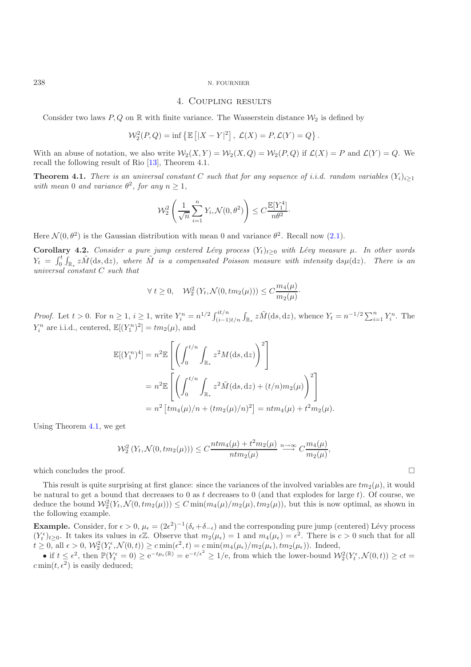#### 4. Coupling results

Consider two laws  $P, Q$  on R with finite variance. The Wasserstein distance  $\mathcal{W}_2$  is defined by

$$
\mathcal{W}_2^2(P,Q)=\inf\left\{\mathbb{E}\left[|X-Y|^2\right],\ \mathcal{L}(X)=P, \mathcal{L}(Y)=Q\right\}.
$$

<span id="page-5-1"></span>With an abuse of notation, we also write  $\mathcal{W}_2(X, Y) = \mathcal{W}_2(X, Q) = \mathcal{W}_2(P, Q)$  if  $\mathcal{L}(X) = P$  and  $\mathcal{L}(Y) = Q$ . We recall the following result of Rio [\[13](#page-15-2)], Theorem 4.1.

**Theorem 4.1.** *There is an universal constant* C *such that for any sequence of i.i.d. random variables*  $(Y_i)_{i\geq 1}$ *with mean* 0 *and variance*  $\theta^2$ *, for any*  $n \geq 1$ *,* 

$$
\mathcal{W}_2^2\left(\frac{1}{\sqrt{n}}\sum_{i=1}^n Y_i, \mathcal{N}(0, \theta^2)\right) \le C \frac{\mathbb{E}[Y_1^4]}{n\theta^2}.
$$

<span id="page-5-2"></span>Here  $\mathcal{N}(0, \theta^2)$  is the Gaussian distribution with mean 0 and variance  $\theta^2$ . Recall now [\(2.1\)](#page-2-1).

**Corollary 4.2.** *Consider a pure jump centered Lévy process*  $(Y_t)_{t>0}$  *with Lévy measure*  $\mu$ *. In other words*  $Y_t = \int_0^t$  $\int_{0}^{t} \int_{\mathbb{R}_{*}} z \tilde{M}(\mathrm{d}s, \mathrm{d}z)$ , where  $\tilde{M}$  is a compensated Poisson measure with intensity  $\mathrm{d}s\mu(\mathrm{d}z)$ . There is an *universal constant* C *such that*

$$
\forall t \ge 0, \quad \mathcal{W}_2^2(Y_t, \mathcal{N}(0, tm_2(\mu))) \le C \frac{m_4(\mu)}{m_2(\mu)}.
$$

*Proof.* Let  $t > 0$ . For  $n \geq 1$ ,  $i \geq 1$ , write  $Y_i^n = n^{1/2} \int_{i-i-1}^{it/n}$  $\sum_{i=1}^{i t/n} \int_{\mathbb{R}_*} z \tilde{M}(\mathrm{d}s, \mathrm{d}z)$ , whence  $Y_t = n^{-1/2} \sum_{i=1}^n Y_i^n$ . The  $Y_i^n$  are i.i.d., centered,  $\mathbb{E}[(Y_1^n)^2] = tm_2(\mu)$ , and

$$
\mathbb{E}[(Y_1^n)^4] = n^2 \mathbb{E} \left[ \left( \int_0^{t/n} \int_{\mathbb{R}_*} z^2 M(\mathrm{d}s, \mathrm{d}z) \right)^2 \right]
$$
  
=  $n^2 \mathbb{E} \left[ \left( \int_0^{t/n} \int_{\mathbb{R}_*} z^2 \tilde{M}(\mathrm{d}s, \mathrm{d}z) + (t/n) m_2(\mu) \right)^2 \right]$   
=  $n^2 \left[ t m_4(\mu)/n + (t m_2(\mu)/n)^2 \right] = n t m_4(\mu) + t^2 m_2(\mu).$ 

Using Theorem [4.1,](#page-5-1) we get

$$
\mathcal{W}_2^2\left(Y_t, \mathcal{N}(0, tm_2(\mu))\right) \le C \frac{ntm_4(\mu) + t^2m_2(\mu)}{ntm_2(\mu)} \stackrel{n \to \infty}{\longrightarrow} C \frac{m_4(\mu)}{m_2(\mu)},
$$

which concludes the proof.

This result is quite surprising at first glance: since the variances of the involved variables are  $tm_2(\mu)$ , it would be natural to get a bound that decreases to 0 as t decreases to 0 (and that explodes for large t). Of course, we deduce the bound  $\mathcal{W}_2^2(Y_t, \mathcal{N}(0, tm_2(\mu))) \le C \min(m_4(\mu)/m_2(\mu), tm_2(\mu))$ , but this is now optimal, as shown in the following example.

**Example.** Consider, for  $\epsilon > 0$ ,  $\mu_{\epsilon} = (2\epsilon^2)^{-1}(\delta_{\epsilon} + \delta_{-\epsilon})$  and the corresponding pure jump (centered) Lévy process  $(V^{\epsilon})$  $(Y_t^{\epsilon})_{t\geq0}$ . It takes its values in  $\epsilon\mathbb{Z}$ . Observe that  $m_2(\mu_{\epsilon})=1$  and  $m_4(\mu_{\epsilon})=\epsilon^2$ . There is  $c>0$  such that for all  $t \geq 0$ , all  $\epsilon > 0$ ,  $\mathcal{W}_2^2(Y_t^{\epsilon}, \mathcal{N}(0, t)) \geq c \min(\epsilon^2, t) = c \min(m_4(\mu_{\epsilon})/m_2(\mu_{\epsilon}), tm_2(\mu_{\epsilon}))$ . Indeed,

• if  $t \leq \epsilon^2$ , then  $\mathbb{P}(Y_t^{\epsilon} = 0) \geq e^{-t\mu_{\epsilon}(\mathbb{R})} = e^{-t/\epsilon^2} \geq 1/e$ , from which the lower-bound  $\mathcal{W}_2^2(Y_t^{\epsilon}, \mathcal{N}(0,t)) \geq ct$  $c \min(t, \overline{\epsilon^2})$  is easily deduced;

<span id="page-5-0"></span>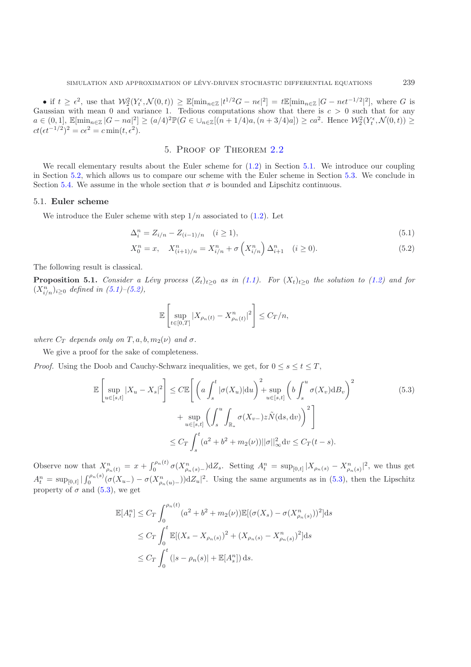• if  $t \geq \epsilon^2$ , use that  $\mathcal{W}_2^2(Y_t^{\epsilon}, \mathcal{N}(0, t)) \geq \mathbb{E}[\min_{n \in \mathbb{Z}} |t^{1/2}G - n\epsilon|^2] = t \mathbb{E}[\min_{n \in \mathbb{Z}} |G - n\epsilon t^{-1/2}|^2]$ , where G is Gaussian with mean 0 and variance 1. Tedious computations show that there is  $c > 0$  such that for any  $a \in (0,1], \ \mathbb{E}[\min_{n \in \mathbb{Z}} |G - na|^2] \ge (a/4)^2 \mathbb{P}(G \in \bigcup_{n \in \mathbb{Z}}[(n+1/4)a, (n+3/4)a] \ge ca^2$ . Hence  $\mathcal{W}_2^2(Y_t^{\epsilon}, \mathcal{N}(0,t)) \ge$  $ct(\epsilon t^{-1/2})^2 = c\epsilon^2 = c \min(t, \epsilon^2).$ 

## <span id="page-6-2"></span>5. Proof of Theorem [2.2](#page-3-1)

<span id="page-6-0"></span>We recall elementary results about the Euler scheme for  $(1.2)$  in Section [5.1.](#page-6-1) We introduce our coupling in Section [5.2,](#page-7-1) which allows us to compare our scheme with the Euler scheme in Section [5.3.](#page-7-2) We conclude in Section [5.4.](#page-9-1) We assume in the whole section that  $\sigma$  is bounded and Lipschitz continuous.

#### <span id="page-6-1"></span>5.1. **Euler scheme**

We introduce the Euler scheme with step  $1/n$  associated to  $(1.2)$ . Let

$$
\Delta_i^n = Z_{i/n} - Z_{(i-1)/n} \quad (i \ge 1), \tag{5.1}
$$

$$
X_0^n = x, \quad X_{(i+1)/n}^n = X_{i/n}^n + \sigma \left( X_{i/n}^n \right) \Delta_{i+1}^n \quad (i \ge 0).
$$
 (5.2)

<span id="page-6-5"></span>The following result is classical.

**Proposition 5.1.** *Consider a Lévy process*  $(Z_t)_{t\geq 0}$  *as in*  $(1.1)$ *. For*  $(X_t)_{t\geq 0}$  *the solution to*  $(1.2)$  *and for*  $(X_{i/n}^n)_{i \geq 0}$  *defined in*  $(5.1)$ – $(5.2)$ *,* 

<span id="page-6-4"></span><span id="page-6-3"></span>
$$
\mathbb{E}\left[\sup_{t\in[0,T]}|X_{\rho_n(t)} - X_{\rho_n(t)}^n|^2\right] \leq C_T/n,
$$

*where*  $C_T$  *depends only on*  $T, a, b, m_2(\nu)$  *and*  $\sigma$ *.* 

We give a proof for the sake of completeness.

*Proof.* Using the Doob and Cauchy-Schwarz inequalities, we get, for  $0 \leq s \leq t \leq T$ ,

$$
\mathbb{E}\left[\sup_{u\in[s,t]}|X_u - X_s|^2\right] \leq C \mathbb{E}\left[\left(a\int_s^t |\sigma(X_u)|du\right)^2 + \sup_{u\in[s,t]} \left(b\int_s^u \sigma(X_v)dB_v\right)^2 + \sup_{u\in[s,t]} \left(\int_s^u \int_{\mathbb{R}_*} \sigma(X_{v-})z\tilde{N}(\mathrm{d}s,\mathrm{d}v)\right)^2\right] \leq C_T \int_s^t (a^2 + b^2 + m_2(v))||\sigma||_\infty^2 \mathrm{d}v \leq C_T(t-s).
$$
\n(5.3)

Observe now that  $X_{\rho_n(t)}^n = x + \int_0^{\rho_n(t)} \sigma(X_{\rho_n(s)}^n) dZ_s$ . Setting  $A_t^n = \sup_{[0,t]} |X_{\rho_n(s)} - X_{\rho_n(s)}^n|^2$ , we thus get  $A_t^n = \sup_{[0,t]} |\int_0^{\rho_n(s)} (\sigma(X_{u-}) - \sigma(X_{\rho_n(u)}^n)) \mathrm{d}Z_u|^2$ . Using the same arguments as in [\(5.3\)](#page-6-4), then the Lipschitz property of  $\sigma$  and [\(5.3\)](#page-6-4), we get

$$
\mathbb{E}[A_t^n] \leq C_T \int_0^{\rho_n(t)} (a^2 + b^2 + m_2(\nu)) \mathbb{E}[(\sigma(X_s) - \sigma(X_{\rho_n(s)}^n))^2] ds
$$
  
\n
$$
\leq C_T \int_0^t \mathbb{E}[(X_s - X_{\rho_n(s)})^2 + (X_{\rho_n(s)} - X_{\rho_n(s)}^n)^2] ds
$$
  
\n
$$
\leq C_T \int_0^t (|s - \rho_n(s)| + \mathbb{E}[A_s^n]) ds.
$$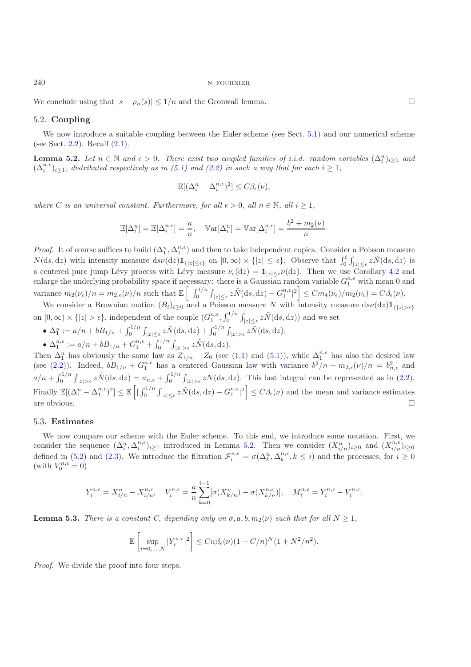<span id="page-7-1"></span>We conclude using that  $|s - \rho_n(s)| \leq 1/n$  and the Gronwall lemma.

### 5.2. **Coupling**

<span id="page-7-0"></span>We now introduce a suitable coupling between the Euler scheme (see Sect. [5.1\)](#page-6-1) and our numerical scheme (see Sect. [2.2\)](#page-2-0). Recall [\(2.1\)](#page-2-1).

**Lemma 5.2.** *Let*  $n \in \mathbb{N}$  *and*  $\epsilon > 0$ *. There exist two coupled families of i.i.d. random variables*  $(\Delta_i^n)_{i\geq 1}$  *and*  $(\Delta_i^n)_{i\geq 1}$  *and*  $(\Delta_i^n)_{i\geq 1}$  *and*  $(\Delta_i^n)_{i\geq 1}$  *and*  $(\Delta_i^n)_{i\geq 1}$  *and*  $(\Delta$  $(\Delta_i^{n,\epsilon})_{i\geq 1}$ , distributed respectively as in [\(5.1\)](#page-6-2) and [\(2.2\)](#page-2-2) in such a way that for each  $i \geq 1$ ,

$$
\mathbb{E}[(\Delta_i^n - \Delta_i^{n,\epsilon})^2] \le C\beta_{\epsilon}(\nu),
$$

*where* C *is an universal constant. Furthermore, for all*  $\epsilon > 0$ , all  $n \in \mathbb{N}$ , all  $i \geq 1$ ,

$$
\mathbb{E}[\Delta_i^n] = \mathbb{E}[\Delta_i^{n,\epsilon}] = \frac{a}{n}, \quad \mathbb{V}\text{ar}[\Delta_i^n] = \mathbb{V}\text{ar}[\Delta_i^{n,\epsilon}] = \frac{b^2 + m_2(\nu)}{n}.
$$

*Proof.* It of course suffices to build  $(\Delta_1^n, \Delta_1^{n,\epsilon})$  and then to take independent copies. Consider a Poisson measure  $N(\text{d}s, \text{d}z)$  with intensity measure  $\text{d}s\nu(\text{d}z)1_{\{|z|\leq \epsilon\}}$  on  $[0, \infty) \times \{|z| \leq \epsilon\}$ . Observe that  $\int_0^t$  $\int_0^t \int_{|z| \leq \epsilon} z \tilde{N}(\mathrm{d}s,\mathrm{d}z)$  is a centered pure jump Lévy process with Lévy measure  $\nu_{\epsilon}(dz) = \mathbf{1}_{|z| \leq \epsilon} \nu(dz)$ . Then we use Corollary [4.2](#page-5-2) and<br>onlarge the underlying probability space if process we there is a Gaussian random variable  $C^{n,\epsilon}$  with m enlarge the underlying probability space if necessary: there is a Gaussian random variable  $G_1^{n,\epsilon}$  with mean 0 and variance  $m_2(\nu_{\epsilon})/n = m_{2,\epsilon}(\nu)/n$  such that  $\mathbb{E} \left[ \frac{\int_0^{1/n} \nu_{\epsilon}^2}{\int_0^{1/n} \nu_{\epsilon}^2} \right]$  $\int_0^{1/n} \int_{|z| \leq \epsilon} z \tilde{N}(\mathrm{d}s,\mathrm{d}z) - G_1^{n,\epsilon}|^2 \Big] \leq C m_4(\nu_{\epsilon})/m_2(\nu_{\epsilon}) = C \beta_{\epsilon}(\nu).$ 

We consider a Brownian motion  $(B_t)_{t\geq0}$  and a Poisson measure N with intensity measure  $ds\nu(\mathrm{d}z)\mathbf{1}_{\{|z|>\epsilon\}}$ on  $[0, \infty) \times \{|z| > \epsilon\}$ , independent of the couple  $(G_1^{n,\epsilon}, \int_0^{1/n}$  $\int_0^1 \int_{|z| \leq \epsilon} z \tilde{N}(\mathrm{d}s, \mathrm{d}z)$  and we set

 $\bullet$   $\Delta_1^n := a/n + bB_{1/n} + \int_0^{1/n}$  $\int_0^1 \int_{|z| \leq \epsilon} z \tilde{N}(\mathrm{d}s,\mathrm{d}z) + \int_0^1 \zeta^{1/n}$  $\int_0^{1/n} \int_{|z|>\epsilon} z \tilde{N}(\mathrm{d} s,\mathrm{d} z);$ 

 $\bullet$   $\Delta_1^{n,\epsilon} := a/n + bB_{1/n} + G_1^{n,\epsilon} + \int_0^{1/n}$  $\int_0^1 \int_{|z|>\epsilon} z\tilde{N}(\mathrm{d}s,\mathrm{d}z).$ 

Then  $\Delta_1^n$  has obviously the same law as  $Z_{1/n} - Z_0$  (see [\(1.1\)](#page-0-1) and [\(5.1\)](#page-6-2)), while  $\Delta_1^{n,\epsilon}$  has also the desired law (see [\(2.2\)](#page-2-2)). Indeed,  $bB_{1/n} + G_1^{n,\epsilon}$  has a centered Gaussian law with variance  $b^2/n + m_{2,\epsilon}(\nu)/n = b_{n,\epsilon}^2$  and  $a/n + \int_0^{1/n}$  $\int_0^{1/n} \int_{|z| > \epsilon} z \tilde{N}(\mathrm{d}s,\mathrm{d}z) = a_{n,\epsilon} + \int_0^{1/n}$  $\int_0^{1/n} \int_{|z| > \epsilon} zN(\mathrm{d}s, \mathrm{d}z)$ . This last integral can be represented as in [\(2.2\)](#page-2-2). Finally  $\mathbb{E}[(\Delta_1^n - \Delta_1^{n,\epsilon})^2] \leq \mathbb{E} \left[|\int_0^{1/n}$  $\int_0^{1/n} \int_{|z| \leq \epsilon} z \tilde{N}(\mathrm{d}s, \mathrm{d}z) - G_1^{n,\epsilon} |^2 \leq C \beta_{\epsilon}(\nu)$  and the mean and variance estimates are obvious.  $\Box$  $\Box$ 

## <span id="page-7-2"></span>5.3. **Estimates**

We now compare our scheme with the Euler scheme. To this end, we introduce some notation. First, we consider the sequence  $(\Delta_i^n, \Delta_i^{n,\epsilon})_{i\geq 1}$  introduced in Lemma [5.2.](#page-7-0) Then we consider  $(X_{i/n}^n)_{i\geq 0}$  and  $(X_{i/n}^{n,\epsilon})_{i\geq 0}$ defined in [\(5.2\)](#page-6-3) and [\(2.3\)](#page-2-3). We introduce the filtration  $\mathcal{F}_i^{n,\epsilon} = \sigma(\Delta_k^n, \Delta_k^{n,\epsilon}, k \leq i)$  and the processes, for  $i \geq 0$ (with  $V_0^{n,\epsilon} = 0$ )

$$
Y_i^{n,\epsilon} = X_{i/n}^n - X_{i/n}^{n,\epsilon}, \quad V_i^{n,\epsilon} = \frac{a}{n} \sum_{k=0}^{i-1} [\sigma(X_{k/n}^n) - \sigma(X_{k/n}^{n,\epsilon})], \quad M_i^{n,\epsilon} = Y_i^{n,\epsilon} - Y_i^{n,\epsilon}.
$$

<span id="page-7-3"></span>**Lemma 5.3.** *There is a constant C, depending only on*  $\sigma$ ,  $a, b, m_2(\nu)$  *such that for all*  $N > 1$ *,* 

$$
\mathbb{E}\left[\sup_{i=0,\ldots,N}|Y_i^{n,\epsilon}|^2\right] \le Cn\beta_{\epsilon}(\nu)(1+C/n)^N(1+N^2/n^2).
$$

*Proof.* We divide the proof into four steps.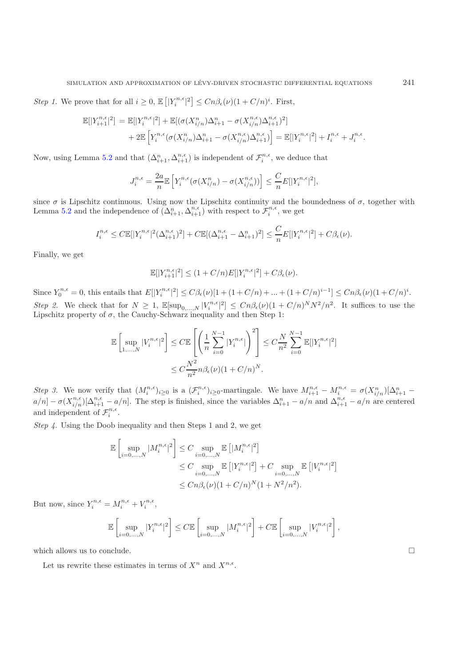*Step 1*. We prove that for all  $i \geq 0$ ,  $\mathbb{E}\left[|Y_i^{n,\epsilon}|^2\right] \leq Cn\beta_{\epsilon}(\nu)(1+C/n)^i$ . First,

$$
\mathbb{E}[|Y_{i+1}^{n,\epsilon}|^2] = \mathbb{E}[|Y_i^{n,\epsilon}|^2] + \mathbb{E}[(\sigma(X_{i/n}^n)\Delta_{i+1}^n - \sigma(X_{i/n}^{n,\epsilon})\Delta_{i+1}^{n,\epsilon})^2]
$$
  
+ 2\mathbb{E}\left[Y\_i^{n,\epsilon}(\sigma(X\_{i/n}^n)\Delta\_{i+1}^n - \sigma(X\_{i/n}^{n,\epsilon})\Delta\_{i+1}^{n,\epsilon})\right] = \mathbb{E}[|Y\_i^{n,\epsilon}|^2] + I\_i^{n,\epsilon} + J\_i^{n,\epsilon}.

Now, using Lemma [5.2](#page-7-0) and that  $(\Delta_{i+1}^n, \Delta_{i+1}^{n,\epsilon})$  is independent of  $\mathcal{F}_i^{n,\epsilon}$ , we deduce that

$$
J_i^{n,\epsilon} = \frac{2a}{n} \mathbb{E}\left[Y_i^{n,\epsilon} (\sigma(X_{i/n}^n) - \sigma(X_{i/n}^{n,\epsilon}))\right] \le \frac{C}{n} E[|Y_i^{n,\epsilon}|^2],
$$

since  $\sigma$  is Lipschitz continuous. Using now the Lipschitz continuity and the boundedness of  $\sigma$ , together with Lemma [5.2](#page-7-0) and the independence of  $(\Delta_{i+1}^n, \Delta_{i+1}^{n,\epsilon})$  with respect to  $\mathcal{F}_i^{n,\epsilon}$ , we get

$$
I_i^{n,\epsilon} \leq C \mathbb{E}[|Y_i^{n,\epsilon}|^2 (\Delta_{i+1}^{n,\epsilon})^2] + C \mathbb{E}[ (\Delta_{i+1}^{n,\epsilon} - \Delta_{i+1}^n)^2] \leq \frac{C}{n} E[|Y_i^{n,\epsilon}|^2] + C\beta_{\epsilon}(\nu).
$$

Finally, we get

$$
\mathbb{E}[|Y_{i+1}^{n,\epsilon}|^2] \le (1+C/n)E[|Y_i^{n,\epsilon}|^2] + C\beta_{\epsilon}(\nu).
$$

Since  $Y_0^{n,\epsilon} = 0$ , this entails that  $E[|Y_i^{n,\epsilon}|^2] \leq C\beta_{\epsilon}(\nu)[1 + (1 + C/n) + ... + (1 + C/n)^{i-1}] \leq Cn\beta_{\epsilon}(\nu)(1 + C/n)^i$ . *Step 2.* We check that for  $N \geq 1$ ,  $\mathbb{E}[\sup_{0,...,N} |V_i^{n,\epsilon}|^2] \leq Cn\beta_{\epsilon}(\nu)(1+C/n)^N N^2/n^2$ . It suffices to use the Lipschitz property of  $\sigma$ , the Cauchy-Schwarz inequality and then Step 1:

$$
\mathbb{E}\left[\sup_{1,\ldots,N}|V_i^{n,\epsilon}|^2\right] \leq C \mathbb{E}\left[\left(\frac{1}{n}\sum_{i=0}^{N-1}|Y_i^{n,\epsilon}|\right)^2\right] \leq C\frac{N}{n^2}\sum_{i=0}^{N-1}\mathbb{E}[|Y_i^{n,\epsilon}|^2]
$$

$$
\leq C\frac{N^2}{n^2}n\beta_{\epsilon}(\nu)(1+C/n)^N.
$$

*Step 3.* We now verify that  $(M_i^{n,\epsilon})_{i\geq 0}$  is a  $(\mathcal{F}_i^{n,\epsilon})_{i\geq 0}$ -martingale. We have  $M_{i+1}^{n,\epsilon} - M_i^{n,\epsilon} = \sigma(X_{i/n}^n)[\Delta_{i+1}^n$  $a/n$  –  $\sigma(X_{i/n}^{n,\epsilon})[\Delta_{i+1}^{n,\epsilon} - a/n]$ . The step is finished, since the variables  $\Delta_{i+1}^n - a/n$  and  $\Delta_{i+1}^{n,\epsilon} - a/n$  are centered and independent of  $\mathcal{F}_i^{n,\epsilon}$ .

*Step 4.* Using the Doob inequality and then Steps 1 and 2, we get

$$
\mathbb{E}\left[\sup_{i=0,\ldots,N}|M_i^{n,\epsilon}|^2\right] \leq C \sup_{i=0,\ldots,N} \mathbb{E}\left[|M_i^{n,\epsilon}|^2\right]
$$
  

$$
\leq C \sup_{i=0,\ldots,N} \mathbb{E}\left[|Y_i^{n,\epsilon}|^2\right] + C \sup_{i=0,\ldots,N} \mathbb{E}\left[|V_i^{n,\epsilon}|^2\right]
$$
  

$$
\leq Cn\beta_{\epsilon}(\nu)(1+C/n)^N(1+N^2/n^2).
$$

But now, since  $Y_i^{n,\epsilon} = M_i^{n,\epsilon} + V_i^{n,\epsilon}$ ,

$$
\mathbb{E}\left[\sup_{i=0,...,N}|Y_i^{n,\epsilon}|^2\right]\leq C\mathbb{E}\left[\sup_{i=0,...,N}|M_i^{n,\epsilon}|^2\right]+C\mathbb{E}\left[\sup_{i=0,...,N}|V_i^{n,\epsilon}|^2\right]
$$

<span id="page-8-0"></span>which allows us to conclude.

Let us rewrite these estimates in terms of  $X^n$  and  $X^{n,\epsilon}$ .

 $\hfill \square$ 

,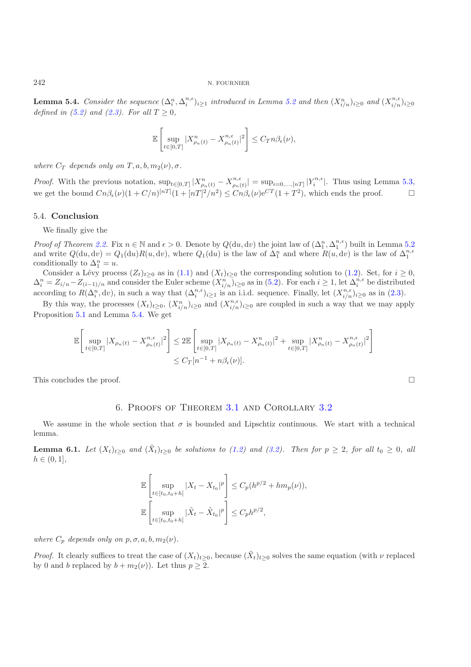**Lemma 5.4.** *Consider the sequence*  $(\Delta_i^n, \Delta_i^{n,\epsilon})_{i\geq 1}$  *introduced in Lemma [5.2](#page-7-0) and then*  $(X_{i/n}^n)_{i\geq 0}$  *and*  $(X_{i/n}^{n,\epsilon})_{i\geq 0}$ <br>defined in (5.0) and (0.2) For all  $T > 0$ . *defined in [\(5.2\)](#page-6-3) and [\(2.3\)](#page-2-3). For all*  $T \ge 0$ *,* 

$$
\mathbb{E}\left[\sup_{t\in[0,T]}|X^n_{\rho_n(t)}-X^{n,\epsilon}_{\rho_n(t)}|^2\right]\leq C_T n\beta_{\epsilon}(\nu),
$$

*where*  $C_T$  *depends only on*  $T, a, b, m_2(\nu), \sigma$ *.* 

*Proof.* With the previous notation,  $\sup_{t\in[0,T]}|X_{\rho_n(t)}^n - X_{\rho_n(t)}^{n,\epsilon}| = \sup_{i=0,\dots,[n]}|Y_i^{n,\epsilon}|$ . Thus using Lemma [5.3,](#page-7-3) we get the bound  $C_n\beta_{\epsilon}(\nu)(1+C/n)^{[nT]}(1+[nT]^2/n^2) \leq C_n\beta_{\epsilon}(\nu)e^{CT}(1+T^2)$ , which ends the proof.

### <span id="page-9-1"></span>5.4. **Conclusion**

We finally give the

*Proof of Theorem [2.2.](#page-3-1)* Fix  $n \in \mathbb{N}$  and  $\epsilon > 0$ . Denote by  $Q(du, dv)$  the joint law of  $(\Delta_1^n, \Delta_1^{n,\epsilon})$  built in Lemma [5.2](#page-7-0) and write  $Q(du, dv) = Q_1(du)R(u, dv)$ , where  $Q_1(du)$  is the law of  $\Delta_1^n$  and where  $R(u, dv)$  is the law of  $\Delta_1^{n, \epsilon}$ conditionally to  $\Delta_1^n = u$ .

Consider a Lévy process  $(Z_t)_{t\geq0}$  as in  $(1.1)$  and  $(X_t)_{t\geq0}$  the corresponding solution to  $(1.2)$ . Set, for  $i\geq0$ ,  $\Delta_i^n = Z_{i/n} - Z_{(i-1)/n}$  and consider the Euler scheme  $(X_{i/n}^n)_{i\geq 0}$  as in [\(5.2\)](#page-6-3). For each  $i \geq 1$ , let  $\Delta_i^{n,\epsilon}$  be distributed according to  $R(\Delta_i^n, dv)$ , in such a way that  $(\Delta_i^{n,\epsilon})_{i\geq 1}$  is an i.i.d. sequence. Finally, let  $(X_{i/n}^{n,\epsilon})_{i\geq 0}$  as in  $(2.3)$ .

By this way, the processes  $(X_t)_{t\geq 0}$ ,  $(X_{i/n}^n)_{i\geq 0}$  and  $(X_{i/n}^{n,\epsilon})_{i\geq 0}$  are coupled in such a way that we may apply Proposition [5.1](#page-6-5) and Lemma [5.4.](#page-8-0) We get

$$
\mathbb{E}\left[\sup_{t\in[0,T]}|X_{\rho_n(t)} - X_{\rho_n(t)}^{n,\epsilon}|^2\right] \le 2\mathbb{E}\left[\sup_{t\in[0,T]}|X_{\rho_n(t)} - X_{\rho_n(t)}^n|^2 + \sup_{t\in[0,T]}|X_{\rho_n(t)}^n - X_{\rho_n(t)}^{n,\epsilon}|^2\right]
$$
  

$$
\le C_T[n^{-1} + n\beta_{\epsilon}(\nu)].
$$

<span id="page-9-0"></span>This concludes the proof.

## 6. Proofs of Theorem [3.1](#page-4-2) and Corollary [3.2](#page-4-3)

<span id="page-9-2"></span>We assume in the whole section that  $\sigma$  is bounded and Lipschtiz continuous. We start with a technical lemma.

**Lemma 6.1.** *Let*  $(X_t)_{t\geq0}$  *and*  $(\tilde{X}_t)_{t\geq0}$  *be solutions to [\(1.2\)](#page-0-0) and [\(3.2\)](#page-4-1). Then for*  $p \geq 2$ *, for all*  $t_0 \geq 0$ *, all*  $h \in (0, 1]$ ,

$$
\mathbb{E}\left[\sup_{t\in[t_0,t_0+h]}|X_t - X_{t_0}|^p\right] \leq C_p(h^{p/2} + hm_p(\nu)),
$$
  

$$
\mathbb{E}\left[\sup_{t\in[t_0,t_0+h]}|\tilde{X}_t - \tilde{X}_{t_0}|^p\right] \leq C_p h^{p/2},
$$

*where*  $C_p$  *depends only on*  $p, \sigma, a, b, m_2(\nu)$ *.* 

*Proof.* It clearly suffices to treat the case of  $(X_t)_{t\geq 0}$ , because  $(X_t)_{t\geq 0}$  solves the same equation (with  $\nu$  replaced by 0 and b replaced by  $b + m_2(\nu)$ . Let thus  $p \geq 2$ .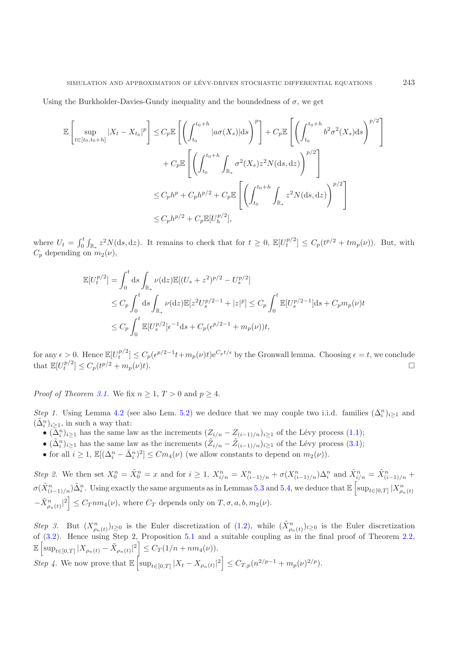Using the Burkholder-Davies-Gundy inequality and the boundedness of  $\sigma$ , we get

$$
\mathbb{E}\left[\sup_{t\in[t_0,t_0+h]}|X_t - X_{t_0}|^p\right] \leq C_p \mathbb{E}\left[\left(\int_{t_0}^{t_0+h} |a\sigma(X_s)|ds\right)^p\right] + C_p \mathbb{E}\left[\left(\int_{t_0}^{t_0+h} b^2\sigma^2(X_s)ds\right)^{p/2}\right] + C_p \mathbb{E}\left[\left(\int_{t_0}^{t_0+h} \int_{\mathbb{R}_*} \sigma^2(X_s)z^2 N(ds,dz)\right)^{p/2}\right] \leq C_p h^p + C_p h^{p/2} + C_p \mathbb{E}\left[\left(\int_{t_0}^{t_0+h} \int_{\mathbb{R}_*} z^2 N(ds,dz)\right)^{p/2}\right] \leq C_p h^{p/2} + C_p \mathbb{E}[U_h^{p/2}],
$$

where  $U_t = \int_0^t$  $\int_{0}^{t} \int_{\mathbb{R}_{*}} z^{2} N(\mathrm{d}s, \mathrm{d}z)$ . It remains to check that for  $t \geq 0$ ,  $\mathbb{E}[U_{t}^{p/2}] \leq C_{p}(t^{p/2} + t m_{p}(\nu))$ . But, with  $C_p$  depending on  $m_2(\nu)$ ,

$$
\mathbb{E}[U_t^{p/2}] = \int_0^t ds \int_{\mathbb{R}_*} \nu(\mathrm{d}z) \mathbb{E}[(U_s + z^2)^{p/2} - U_s^{p/2}]
$$
  
\n
$$
\leq C_p \int_0^t ds \int_{\mathbb{R}_*} \nu(\mathrm{d}z) \mathbb{E}[z^2 U_s^{p/2-1} + |z|^p] \leq C_p \int_0^t \mathbb{E}[U_s^{p/2-1}] \mathrm{d}s + C_p m_p(\nu) t
$$
  
\n
$$
\leq C_p \int_0^t \mathbb{E}[U_s^{p/2}] \epsilon^{-1} \mathrm{d}s + C_p(\epsilon^{p/2-1} + m_p(\nu)) t,
$$

for any  $\epsilon > 0$ . Hence  $\mathbb{E}[U_t^{p/2}] \leq C_p(\epsilon^{p/2-1}t + m_p(\nu)t)e^{C_pt/\epsilon}$  by the Gronwall lemma. Choosing  $\epsilon = t$ , we conclude that  $\mathbb{E}[U_t^{p/2}] \le C_p(t^{p/2} + m_p(\nu)t)$ .

*Proof of Theorem [3.1.](#page-4-2)* We fix  $n \geq 1, T > 0$  and  $p \geq 4$ .

*Step 1.* Using Lemma [4.2](#page-5-2) (see also Lem. [5.2\)](#page-7-0) we deduce that we may couple two i.i.d. families  $(\Delta_i^n)_{i\geq 1}$  and  $(\tilde{\Delta}_i^n)_{i\geq 1}$ , in such a way that:

- $(\Delta_i^n)_{i\geq 1}$  has the same law as the increments  $(Z_{i/n} Z_{(i-1)/n})_{i\geq 1}$  of the Lévy process [\(1.1\)](#page-0-1);
- $(\tilde{\Delta}_i^n)_{i\geq 1}$  has the same law as the increments  $(\tilde{Z}_{i/n} \tilde{Z}_{(i-1)/n})_{i\geq 1}$  of the Lévy process [\(3.1\)](#page-4-4);
- for all  $i \geq 1$ ,  $\mathbb{E}[(\Delta_i^n \tilde{\Delta}_i^n)^2] \leq Cm_4(\nu)$  (we allow constants to depend on  $m_2(\nu)$ ).

*Step 2.* We then set  $X_0^n = \tilde{X}_0^n = x$  and for  $i \geq 1$ ,  $X_{i/n}^n = X_{(i-1)/n}^n + \sigma(X_{(i-1)/n}^n) \Delta_i^n$  and  $\tilde{X}_{i/n}^n = \tilde{X}_{(i-1)/n}^n +$  $\sigma(\tilde{X}_{(i-1)/n}^n)\tilde{\Delta}_i^n$ . Using exactly the same arguments as in Lemmas [5.3](#page-7-3) and [5.4,](#page-8-0) we deduce that  $\mathbb{E}\left[\sup_{t\in[0,T]}|X_{\rho_n(t)}^n|^2\right]$  $-\tilde{X}_{\rho_n(t)}^n|^2\Big] \leq C_T nm_4(\nu)$ , where  $C_T$  depends only on  $T, \sigma, a, b, m_2(\nu)$ .

*Step 3.* But  $(X_{\rho_n(t)}^n)_{t\geq 0}$  is the Euler discretization of [\(1.2\)](#page-0-0), while  $(\tilde{X}_{\rho_n(t)}^n)_{t\geq 0}$  is the Euler discretization of [\(3.2\)](#page-4-1). Hence using Step 2, Proposition [5.1](#page-6-5) and a suitable coupling as in the final proof of Theorem [2.2,](#page-3-1)  $\mathbb{E} \left[ \sup_{t \in [0,T]} |X_{\rho_n(t)} - \tilde{X}_{\rho_n(t)}|^2 \right] \leq C_T (1/n + nm_4(\nu)).$ 

*Step 4*. We now prove that  $\mathbb{E} \left[ \sup_{t \in [0,T]} |X_t - X_{\rho_n(t)}|^2 \right] \leq C_{T,p} (n^{2/p-1} + m_p(\nu)^{2/p}).$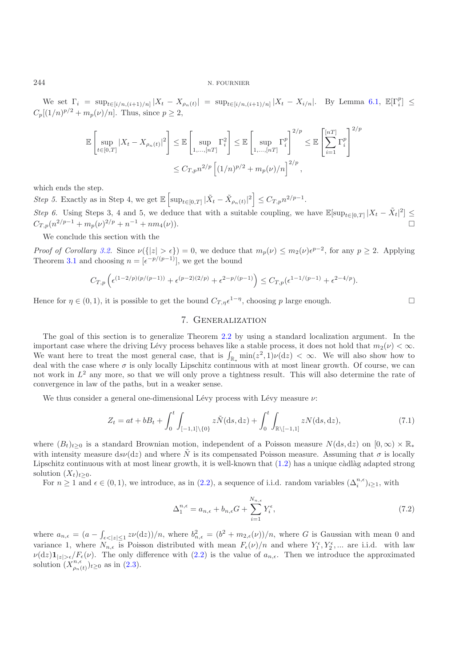We set  $\Gamma_i = \sup_{t \in [i/n, (i+1)/n]} |X_t - X_{\rho_n(t)}| = \sup_{t \in [i/n, (i+1)/n]} |X_t - X_{i/n}|$ . By Lemma [6.1,](#page-9-2)  $\mathbb{E}[\Gamma_i^p] \leq$  $C_n[(1/n)^{p/2} + m_p(\nu)/n]$ . Thus, since  $p \ge 2$ ,

$$
\mathbb{E}\left[\sup_{t\in[0,T]}|X_t-X_{\rho_n(t)}|^2\right] \leq \mathbb{E}\left[\sup_{1,\ldots,[nT]} \Gamma_i^2\right] \leq \mathbb{E}\left[\sup_{1,\ldots,[nT]} \Gamma_i^p\right]^{2/p} \leq \mathbb{E}\left[\sum_{i=1}^{[nT]} \Gamma_i^p\right]^{2/p}
$$

$$
\leq C_{T,p}n^{2/p}\left[(1/n)^{p/2}+m_p(\nu)/n\right]^{2/p},
$$

which ends the step.

*Step 5.* Exactly as in Step 4, we get  $\mathbb{E}\left[\sup_{t\in[0,T]}|\tilde{X}_t-\tilde{X}_{\rho_n(t)}|^2\right] \leq C_{T,p}n^{2/p-1}$ . *Step 6.* Using Steps 3, 4 and 5, we deduce that with a suitable coupling, we have  $\mathbb{E}[\sup_{t\in[0,T]}|X_t-\tilde{X}_t|^2] \leq$  $C_{T,n}(n^{2/p-1} + m_n(\nu)^{2/p} + n^{-1} + nm_4(\nu)).$ 

We conclude this section with the

*Proof of Corollary* [3.2.](#page-4-3) Since  $\nu({\{|z| > \epsilon\}}) = 0$ , we deduce that  $m_p(\nu) \leq m_2(\nu) \epsilon^{p-2}$ , for any  $p \geq 2$ . Applying Theorem [3.1](#page-4-2) and choosing  $n = \lbrack \epsilon^{-p/(p-1)} \rbrack$ , we get the bound

$$
C_{T,p}\left(\epsilon^{(1-2/p)(p/(p-1))} + \epsilon^{(p-2)(2/p)} + \epsilon^{2-p/(p-1)}\right) \le C_{T,p}(\epsilon^{1-1/(p-1)} + \epsilon^{2-4/p}).
$$

<span id="page-11-0"></span>Hence for  $\eta \in (0, 1)$ , it is possible to get the bound  $C_{T,n}e^{1-\eta}$ , choosing p large enough.

## 7. Generalization

The goal of this section is to generalize Theorem [2.2](#page-3-1) by using a standard localization argument. In the important case where the driving Lévy process behaves like a stable process, it does not hold that  $m_2(\nu) < \infty$ . We want here to treat the most general case, that is  $\int_{\mathbb{R}_*} \min(z^2, 1)\nu(\mathrm{d}z) < \infty$ . We will also show how to deal with the case where  $\sigma$  is only locally Lipschitz continuous with at most linear growth. Of course, we can not work in  $L^2$  any more, so that we will only prove a tightness result. This will also determine the rate of convergence in law of the paths, but in a weaker sense.

<span id="page-11-1"></span>We thus consider a general one-dimensional Lévy process with Lévy measure  $\nu$ :

$$
Z_t = at + bB_t + \int_0^t \int_{[-1,1]\setminus\{0\}} z\tilde{N}(\mathrm{d}s, \mathrm{d}z) + \int_0^t \int_{\mathbb{R}\setminus[-1,1]} zN(\mathrm{d}s, \mathrm{d}z),\tag{7.1}
$$

where  $(B_t)_{t\geq0}$  is a standard Brownian motion, independent of a Poisson measure  $N(ds, dz)$  on  $[0, \infty) \times \mathbb{R}^*$ with intensity measure dsv(dz) and where  $\tilde{N}$  is its compensated Poisson measure. Assuming that  $\sigma$  is locally Lipschitz continuous with at most linear growth, it is well-known that  $(1.2)$  has a unique càdlàg adapted strong solution  $(X_t)_{t\geq0}$ .

For  $n \geq 1$  and  $\epsilon \in (0,1)$ , we introduce, as in  $(2.2)$ , a sequence of i.i.d. random variables  $(\Delta_i^{n,\epsilon})_{i\geq 1}$ , with

$$
\Delta_1^{n,\epsilon} = a_{n,\epsilon} + b_{n,\epsilon}G + \sum_{i=1}^{N_{n,\epsilon}} Y_i^{\epsilon},\tag{7.2}
$$

where  $a_{n,\epsilon} = (a - \int_{\epsilon \leq |z| \leq 1} z \nu(\epsilon dz)) / n$ , where  $b_{n,\epsilon}^2 = (b^2 + m_{2,\epsilon}(\nu)) / n$ , where G is Gaussian with mean 0 and variance 1, where  $N_{n,\epsilon}$  is Poisson distributed with mean  $F_{\epsilon}(\nu)/n$  and where  $Y_1^{\epsilon}, Y_2^{\epsilon}, ...$  are i.i.d. with law  $\nu(\mathrm{d}z)\mathbf{1}_{|z|>\epsilon}/F_{\epsilon}(\nu)$ . The only difference with [\(2.2\)](#page-2-2) is the value of  $a_{n,\epsilon}$ . Then we introduce the approximated solution  $(Y^{n,\epsilon})_{\epsilon>0}$  as in (2.3) solution  $(X_{\rho_n(t)}^{n,\epsilon})_{t\geq 0}$  as in  $(2.3)$ .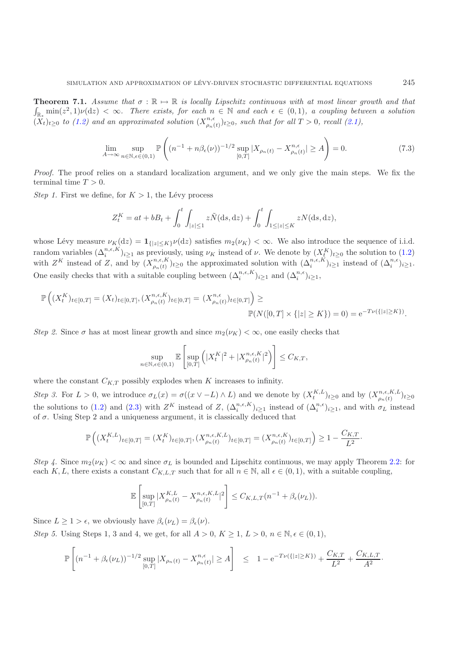**Theorem 7.1.** Assume that  $\sigma : \mathbb{R} \to \mathbb{R}$  is locally Lipschitz continuous with at most linear growth and that  $\int_{\mathbb{R}_*} \min(z^2, 1) \nu(\mathrm{d}z) < \infty$ . There exists, for each  $n \in \mathbb{N}$  and each  $\epsilon \in (0, 1)$ , a coupling  $(\widetilde{X}_t)_{t\geq 0}$  to [\(1.2\)](#page-0-0) and an approximated solution  $(X_{\rho_n(t)}^{n,\epsilon})_{t\geq 0}$ , such that for all  $T > 0$ , recall [\(2.1\)](#page-2-1),

$$
\lim_{A \to \infty} \sup_{n \in \mathbb{N}, \epsilon \in (0,1)} \mathbb{P}\left( (n^{-1} + n\beta_{\epsilon}(\nu))^{-1/2} \sup_{[0,T]} |X_{\rho_n(t)} - X_{\rho_n(t)}^{n,\epsilon}| \ge A \right) = 0. \tag{7.3}
$$

*Proof.* The proof relies on a standard localization argument, and we only give the main steps. We fix the terminal time  $T > 0$ .

*Step 1.* First we define, for  $K > 1$ , the Lévy process

$$
Z_t^K = at + bB_t + \int_0^t \int_{|z| \le 1} z \tilde{N}(\mathrm{d}s, \mathrm{d}z) + \int_0^t \int_{1 \le |z| \le K} z N(\mathrm{d}s, \mathrm{d}z),
$$

whose Lévy measure  $\nu_K(\mathrm{d}z) = \mathbf{1}_{\{|z| \leq K\}}\nu(\mathrm{d}z)$  satisfies  $m_2(\nu_K) < \infty$ . We also introduce the sequence of i.i.d. random variables  $(\Delta_i^{n,\epsilon,K})_{i\geq 1}$  as previously, using  $\nu_K$  instead of  $\nu$ . We denote by  $(X^K_t)_{t\geq 0}$  the solution to  $(1.2)$ with  $Z^K$  instead of Z, and by  $(X_{\rho_n(t)}^{n,\epsilon,K})_{t\geq 0}$  the approximated solution with  $(\Delta_i^{n,\epsilon,K})_{i\geq 1}$  instead of  $(\Delta_i^{n,\epsilon})_{i\geq 1}$ . One easily checks that with a suitable coupling between  $(\Delta_i^{n,\epsilon,K})_{i\geq 1}$  and  $(\Delta_i^{n,\epsilon})_{i\geq 1}$ ,

$$
\mathbb{P}\left((X_t^K)_{t\in[0,T]}=(X_t)_{t\in[0,T]},(X_{\rho_n(t)}^{n,\epsilon,K})_{t\in[0,T]}=(X_{\rho_n(t)}^{n,\epsilon})_{t\in[0,T]}\right)\geq\\ \mathbb{P}(N([0,T]\times\{|z|\geq K\})=0)=\mathrm{e}^{-T\nu(\{|z|\geq K\})}.
$$

*Step 2.* Since  $\sigma$  has at most linear growth and since  $m_2(\nu_K) < \infty$ , one easily checks that

$$
\sup_{n\in\mathbb{N},\epsilon\in(0,1)}\mathbb{E}\left[\sup_{[0,T]}\left(|X_t^K|^2+|X_{\rho_n(t)}^{n,\epsilon,K}|^2\right)\right]\leq C_{K,T},
$$

where the constant  $C_{K,T}$  possibly explodes when K increases to infinity.

*Step 3.* For  $L > 0$ , we introduce  $\sigma_L(x) = \sigma((x \vee -L) \wedge L)$  and we denote by  $(X_t^{K,L})_{t \geq 0}$  and by  $(X_{\rho_n(t)}^{n,\epsilon,K,L})_{t \geq 0}$ the solutions to [\(1.2\)](#page-0-0) and [\(2.3\)](#page-2-3) with  $Z^K$  instead of  $Z$ ,  $(\Delta_i^{n,\epsilon,K})_{i\geq 1}$  instead of  $(\Delta_i^{n,\epsilon})_{i\geq 1}$ , and with  $\sigma_L$  instead of  $\sigma$ . Using Step 2 and a uniqueness argument, it is classically deduced that

$$
\mathbb{P}\left((X_t^{K,L})_{t\in[0,T]}=(X_t^K)_{t\in[0,T]},(X_{\rho_n(t)}^{n,\epsilon,K,L})_{t\in[0,T]}=(X_{\rho_n(t)}^{n,\epsilon,K})_{t\in[0,T]}\right) \geq 1-\frac{C_{K,T}}{L^2}.
$$

*Step 4.* Since  $m_2(\nu_K) < \infty$  and since  $\sigma_L$  is bounded and Lipschitz continuous, we may apply Theorem [2.2:](#page-3-1) for each K, L, there exists a constant  $C_{K,L,T}$  such that for all  $n \in \mathbb{N}$ , all  $\epsilon \in (0,1)$ , with a suitable coupling,

$$
\mathbb{E}\left[\sup_{[0,T]}|X^{K,L}_{\rho_n(t)} - X^{n,\epsilon,K,L}_{\rho_n(t)}|^2\right] \leq C_{K,L,T}(n^{-1} + \beta_{\epsilon}(\nu_L)).
$$

Since  $L \geq 1 > \epsilon$ , we obviously have  $\beta_{\epsilon}(\nu_L) = \beta_{\epsilon}(\nu)$ .

*Step 5.* Using Steps 1, 3 and 4, we get, for all  $A > 0$ ,  $K \ge 1$ ,  $L > 0$ ,  $n \in \mathbb{N}, \epsilon \in (0, 1)$ ,

$$
\mathbb{P}\left[ (n^{-1} + \beta_{\epsilon}(\nu_L))^{-1/2} \sup_{[0,T]} |X_{\rho_n(t)} - X_{\rho_n(t)}^{n,\epsilon}| \ge A \right] \le 1 - e^{-T\nu(\{|z| \ge K\})} + \frac{C_{K,T}}{L^2} + \frac{C_{K,L,T}}{A^2}.
$$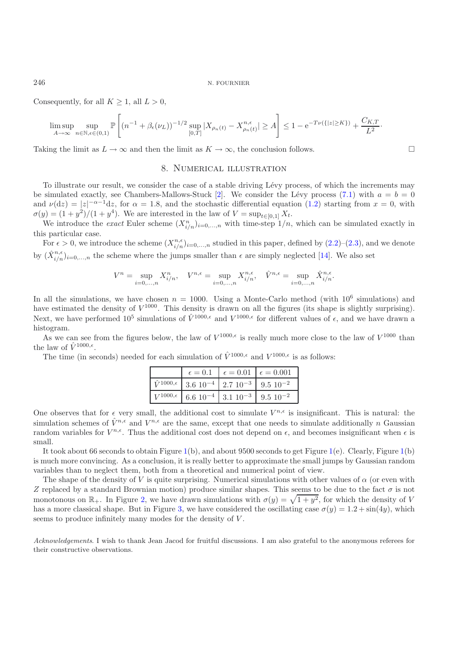Consequently, for all  $K \geq 1$ , all  $L > 0$ ,

$$
\limsup_{A\to\infty}\sup_{n\in\mathbb{N},\epsilon\in(0,1)}\mathbb{P}\left[(n^{-1}+\beta_{\epsilon}(\nu_L))^{-1/2}\sup_{[0,T]}|X_{\rho_n(t)}-X_{\rho_n(t)}^{n,\epsilon}|\geq A\right]\leq 1-\mathrm{e}^{-T\nu(\{|z|\geq K\})}+\frac{C_{K,T}}{L^2}.
$$

<span id="page-13-0"></span>Taking the limit as  $L \to \infty$  and then the limit as  $K \to \infty$ , the conclusion follows.

## 8. Numerical illustration

 $\Box$ 

To illustrate our result, we consider the case of a stable driving L´evy process, of which the increments may be simulated exactly, see Chambers-Mallows-Stuck [\[2](#page-15-18)]. We consider the Lévy process [\(7.1\)](#page-11-1) with  $a = b = 0$ and  $\nu(\mathrm{d}z) = |z|^{-\alpha-1}\mathrm{d}z$ , for  $\alpha = 1.8$ , and the stochastic differential equation  $(1.2)$  starting from  $x = 0$ , with  $\sigma(y) = (1 + y^2)/(1 + y^4)$ . We are interested in the law of  $V = \sup_{t \in [0,1]} X_t$ .

We introduce the *exact* Euler scheme  $(X_{i/n}^n)_{i=0,\dots,n}$  with time-step  $1/n$ , which can be simulated exactly in this particular case.

For  $\epsilon > 0$ , we introduce the scheme  $(X_{i/n}^{n,\epsilon})_{i=0,...,n}$  studied in this paper, defined by  $(2.2)$ – $(2.3)$ , and we denote by  $(\hat{X}_{i/n}^{n,\epsilon})_{i=0,\ldots,n}$  the scheme where the jumps smaller than  $\epsilon$  are simply neglected [\[14\]](#page-15-9). We also set

$$
V^n = \sup_{i=0,\dots,n} X_{i/n}^n, \quad V^{n,\epsilon} = \sup_{i=0,\dots,n} X_{i/n}^{n,\epsilon}, \quad \hat{V}^{n,\epsilon} = \sup_{i=0,\dots,n} \hat{X}_{i/n}^{n,\epsilon}.
$$

In all the simulations, we have chosen  $n = 1000$ . Using a Monte-Carlo method (with  $10^6$  simulations) and have estimated the density of  $V^{1000}$ . This density is drawn on all the figures (its shape is slightly surprising). Next, we have performed  $10^5$  simulations of  $\hat{V}^{1000,\epsilon}$  and  $V^{1000,\epsilon}$  for different values of  $\epsilon$ , and we have drawn a histogram.

As we can see from the figures below, the law of  $V^{1000,\epsilon}$  is really much more close to the law of  $V^{1000}$  than the law of  $\hat{V}^{1000,\epsilon}$ .

The time (in seconds) needed for each simulation of  $\hat{V}^{1000,\epsilon}$  and  $V^{1000,\epsilon}$  is as follows:

|                                                                                          | $\epsilon = 0.1$ $\epsilon = 0.01$ $\epsilon = 0.001$ |  |
|------------------------------------------------------------------------------------------|-------------------------------------------------------|--|
| $\hat{V}^{1000,\epsilon}$ 3.6 10 <sup>-4</sup> 2.7 10 <sup>-3</sup> 9.5 10 <sup>-2</sup> |                                                       |  |
| $V^{1000,\epsilon}$ 6.6 10 <sup>-4</sup> 3.1 10 <sup>-3</sup> 9.5 10 <sup>-2</sup>       |                                                       |  |

One observes that for  $\epsilon$  very small, the additional cost to simulate  $V^{n,\epsilon}$  is insignificant. This is natural: the simulation schemes of  $\hat{V}^{n,\epsilon}$  and  $V^{n,\epsilon}$  are the same, except that one needs to simulate additionally n Gaussian random variables for  $V^{n,\epsilon}$ . Thus the additional cost does not depend on  $\epsilon$ , and becomes insignificant when  $\epsilon$  is small.

It took about 66 seconds to obtain Figure [1\(](#page-14-0)b), and about 9500 seconds to get Figure [1\(](#page-14-0)e). Clearly, Figure [1\(](#page-14-0)b) is much more convincing. As a conclusion, it is really better to approximate the small jumps by Gaussian random variables than to neglect them, both from a theoretical and numerical point of view.

The shape of the density of V is quite surprising. Numerical simulations with other values of  $\alpha$  (or even with Z replaced by a standard Brownian motion) produce similar shapes. This seems to be due to the fact  $\sigma$  is not monotonous on  $\mathbb{R}_+$ . In Figure [2,](#page-14-1) we have drawn simulations with  $\sigma(y) = \sqrt{1 + y^2}$ , for which the density of V has a more classical shape. But in Figure [3,](#page-15-19) we have considered the oscillating case  $\sigma(y)=1.2 + \sin(4y)$ , which seems to produce infinitely many modes for the density of V.

*Acknowledgements*. I wish to thank Jean Jacod for fruitful discussions. I am also grateful to the anonymous referees for their constructive observations.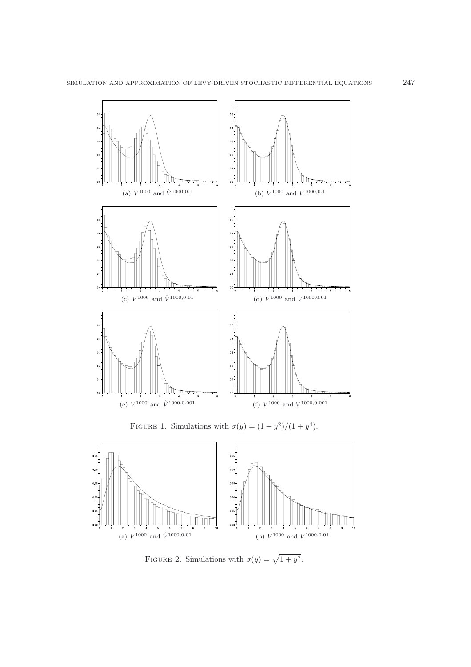

<span id="page-14-0"></span>FIGURE 1. Simulations with  $\sigma(y) = (1 + y^2)/(1 + y^4)$ .



<span id="page-14-1"></span>FIGURE 2. Simulations with  $\sigma(y) = \sqrt{1 + y^2}$ .